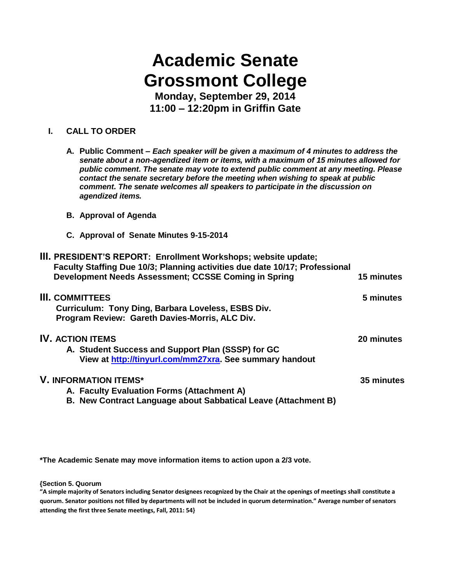# **Academic Senate Grossmont College**

**Monday, September 29, 2014 11:00 – 12:20pm in Griffin Gate**

# **I. CALL TO ORDER**

- **A. Public Comment –** *Each speaker will be given a maximum of 4 minutes to address the senate about a non-agendized item or items, with a maximum of 15 minutes allowed for public comment. The senate may vote to extend public comment at any meeting. Please contact the senate secretary before the meeting when wishing to speak at public comment. The senate welcomes all speakers to participate in the discussion on agendized items.*
- **B. Approval of Agenda**
- **C. Approval of Senate Minutes 9-15-2014**

| III. PRESIDENT'S REPORT: Enrollment Workshops; website update;<br>Faculty Staffing Due 10/3; Planning activities due date 10/17; Professional<br>Development Needs Assessment; CCSSE Coming in Spring | 15 minutes |
|-------------------------------------------------------------------------------------------------------------------------------------------------------------------------------------------------------|------------|
| <b>III. COMMITTEES</b><br>Curriculum: Tony Ding, Barbara Loveless, ESBS Div.<br>Program Review: Gareth Davies-Morris, ALC Div.                                                                        | 5 minutes  |
| <b>IV. ACTION ITEMS</b><br>A. Student Success and Support Plan (SSSP) for GC<br>View at http://tinyurl.com/mm27xra. See summary handout                                                               | 20 minutes |
| <b>V. INFORMATION ITEMS*</b><br>A. Faculty Evaluation Forms (Attachment A)                                                                                                                            | 35 minutes |

**B. New Contract Language about Sabbatical Leave (Attachment B)**

**\*The Academic Senate may move information items to action upon a 2/3 vote.**

**{Section 5. Quorum**

**"A simple majority of Senators including Senator designees recognized by the Chair at the openings of meetings shall constitute a quorum. Senator positions not filled by departments will not be included in quorum determination." Average number of senators attending the first three Senate meetings, Fall, 2011: 54}**